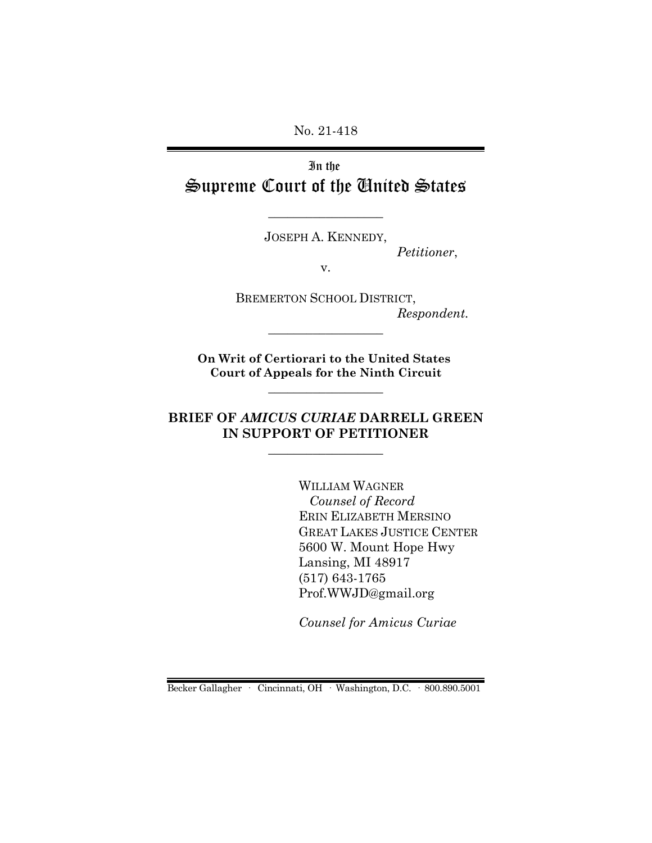No. 21-418

In the Supreme Court of the United States

JOSEPH A. KENNEDY,

 $\_$ 

*Petitioner*,

v.

BREMERTON SCHOOL DISTRICT, *Respondent.*

**On Writ of Certiorari to the United States Court of Appeals for the Ninth Circuit**

 $\_$ 

\_\_\_\_\_\_\_\_\_\_\_\_\_\_\_\_\_\_

## **BRIEF OF** *AMICUS CURIAE* **DARRELL GREEN IN SUPPORT OF PETITIONER**

 $\_$ 

WILLIAM WAGNER  *Counsel of Record* ERIN ELIZABETH MERSINO GREAT LAKES JUSTICE CENTER 5600 W. Mount Hope Hwy Lansing, MI 48917 (517) 643-1765 Prof.WWJD@gmail.org

*Counsel for Amicus Curiae*

Becker Gallagher · Cincinnati, OH · Washington, D.C. · 800.890.5001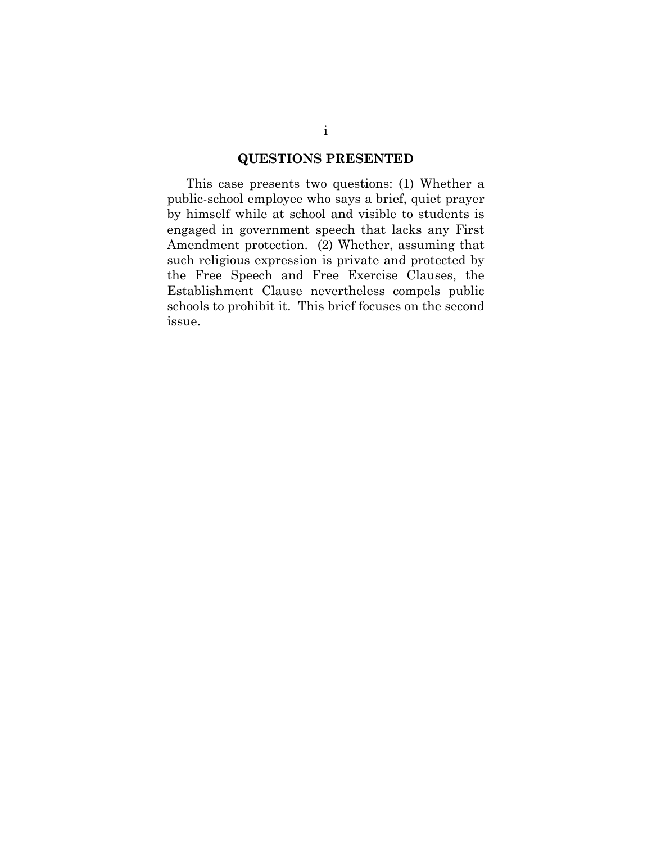#### **QUESTIONS PRESENTED**

This case presents two questions: (1) Whether a public-school employee who says a brief, quiet prayer by himself while at school and visible to students is engaged in government speech that lacks any First Amendment protection. (2) Whether, assuming that such religious expression is private and protected by the Free Speech and Free Exercise Clauses, the Establishment Clause nevertheless compels public schools to prohibit it. This brief focuses on the second issue.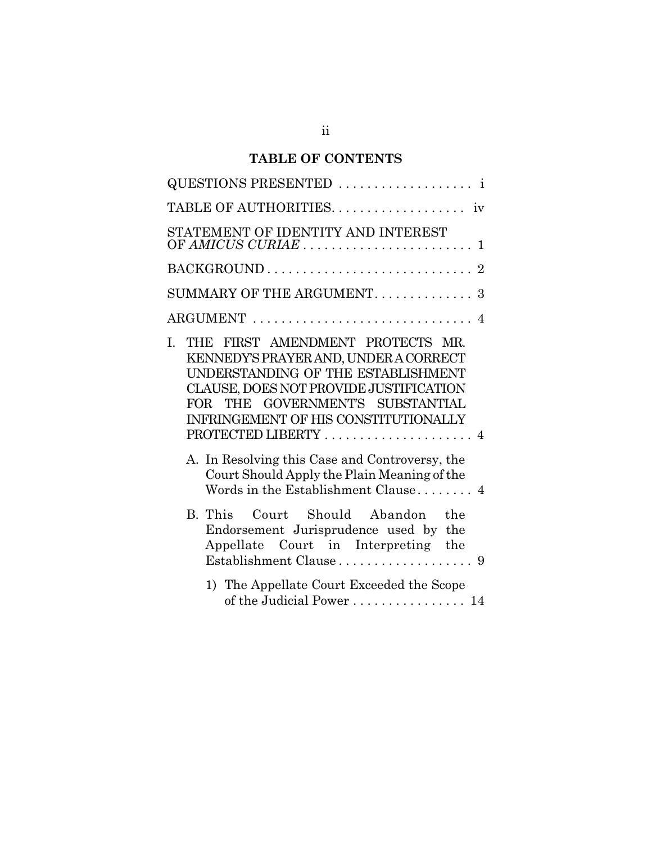# **TABLE OF CONTENTS**

| QUESTIONS PRESENTED                                                                                                                                                                                                                                                                                                                                                                                         |
|-------------------------------------------------------------------------------------------------------------------------------------------------------------------------------------------------------------------------------------------------------------------------------------------------------------------------------------------------------------------------------------------------------------|
|                                                                                                                                                                                                                                                                                                                                                                                                             |
| STATEMENT OF IDENTITY AND INTEREST                                                                                                                                                                                                                                                                                                                                                                          |
|                                                                                                                                                                                                                                                                                                                                                                                                             |
| SUMMARY OF THE ARGUMENT. 3                                                                                                                                                                                                                                                                                                                                                                                  |
|                                                                                                                                                                                                                                                                                                                                                                                                             |
| THE FIRST AMENDMENT PROTECTS MR.<br>L.<br>KENNEDY'S PRAYER AND, UNDER A CORRECT<br>UNDERSTANDING OF THE ESTABLISHMENT<br>CLAUSE, DOES NOT PROVIDE JUSTIFICATION<br>FOR THE GOVERNMENT'S SUBSTANTIAL<br>INFRINGEMENT OF HIS CONSTITUTIONALLY<br>PROTECTED LIBERTY  4<br>A. In Resolving this Case and Controversy, the<br>Court Should Apply the Plain Meaning of the<br>Words in the Establishment Clause 4 |
| B. This Court Should Abandon<br>the<br>Endorsement Jurisprudence used by the<br>Appellate Court in Interpreting the                                                                                                                                                                                                                                                                                         |
| 1) The Appellate Court Exceeded the Scope<br>of the Judicial Power 14                                                                                                                                                                                                                                                                                                                                       |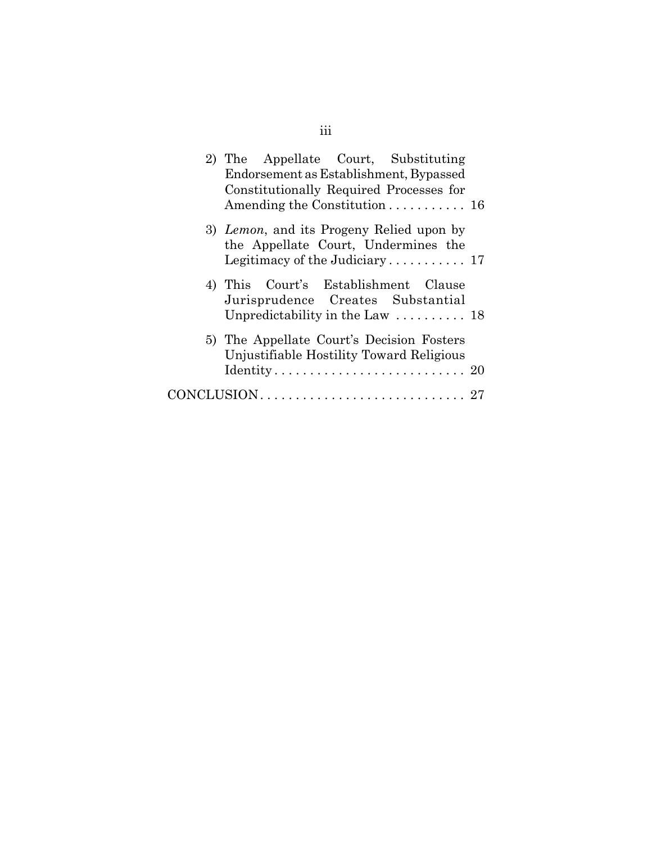| 2) The Appellate Court, Substituting                                                  |  |
|---------------------------------------------------------------------------------------|--|
| Endorsement as Establishment, Bypassed                                                |  |
| Constitutionally Required Processes for                                               |  |
| Amending the Constitution 16                                                          |  |
| 3) Lemon, and its Progeny Relied upon by<br>the Appellate Court, Undermines the       |  |
|                                                                                       |  |
| 4) This Court's Establishment Clause<br>Jurisprudence Creates Substantial             |  |
| Unpredictability in the Law $\ldots \ldots \ldots$ 18                                 |  |
| 5) The Appellate Court's Decision Fosters<br>Unjustifiable Hostility Toward Religious |  |
| $Identity \ldots \ldots \ldots \ldots \ldots \ldots \ldots 20$                        |  |
|                                                                                       |  |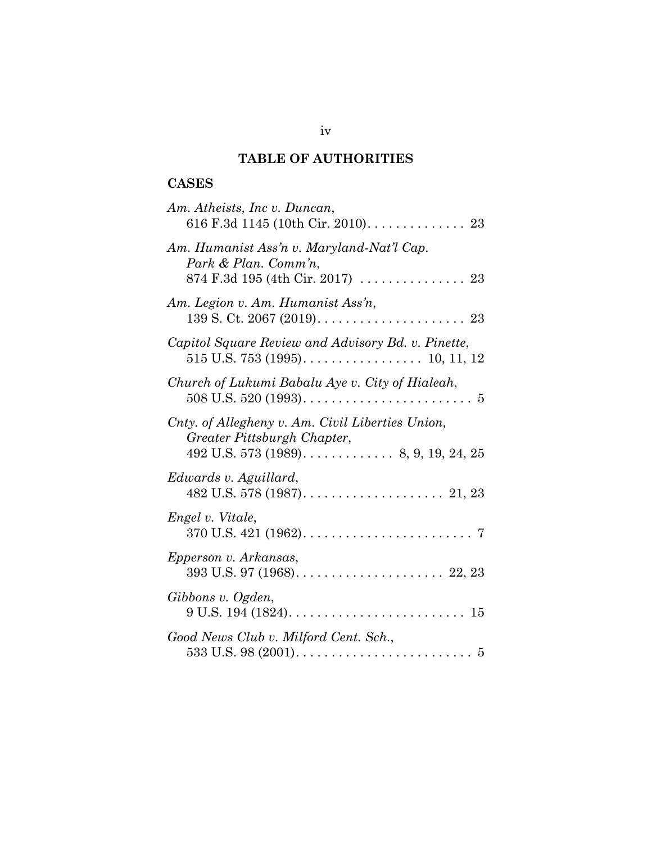## **TABLE OF AUTHORITIES**

## **CASES**

| Am. Atheists, Inc v. Duncan,<br>616 F.3d 1145 (10th Cir. 2010). 23                                                                             |
|------------------------------------------------------------------------------------------------------------------------------------------------|
| Am. Humanist Ass'n v. Maryland-Nat'l Cap.<br>Park & Plan. Comm'n,<br>874 F.3d 195 (4th Cir. 2017)  23                                          |
| Am. Legion v. Am. Humanist Ass'n,                                                                                                              |
| Capitol Square Review and Advisory Bd. v. Pinette,                                                                                             |
| Church of Lukumi Babalu Aye v. City of Hialeah,                                                                                                |
| Cnty. of Allegheny v. Am. Civil Liberties Union,<br>Greater Pittsburgh Chapter,<br>492 U.S. 573 (1989). $\ldots$ . $\ldots$ . 8, 9, 19, 24, 25 |
| Edwards v. Aguillard,                                                                                                                          |
| Engel v. Vitale,                                                                                                                               |
| Epperson v. Arkansas,                                                                                                                          |
| Gibbons v. Ogden,<br>$9 U.S. 194 (1824) \ldots \ldots \ldots \ldots \ldots \ldots \ldots \ldots \ldots 15$                                     |
| Good News Club v. Milford Cent. Sch.,                                                                                                          |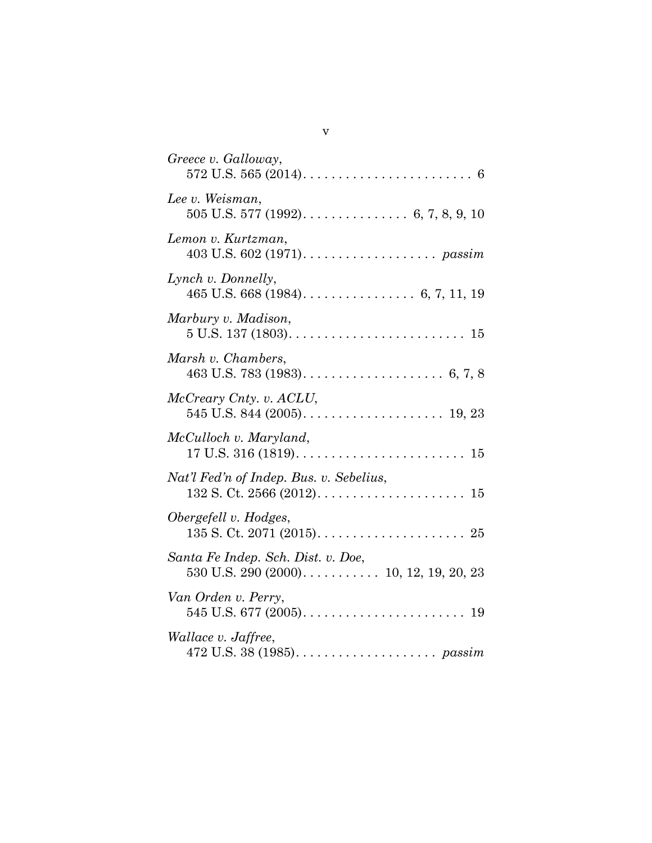| Greece v. Galloway,                                                                |
|------------------------------------------------------------------------------------|
| Lee v. Weisman,                                                                    |
| Lemon v. Kurtzman,                                                                 |
| Lynch v. Donnelly,                                                                 |
| Marbury v. Madison,                                                                |
| Marsh v. Chambers,                                                                 |
| McCreary Cnty. v. ACLU,                                                            |
| McCulloch v. Maryland,                                                             |
| Nat'l Fed'n of Indep. Bus. v. Sebelius,                                            |
| Obergefell v. Hodges,                                                              |
| Santa Fe Indep. Sch. Dist. v. Doe,<br>$530$ U.S. $290$ $(2000)$ 10, 12, 19, 20, 23 |
| Van Orden v. Perry,                                                                |
| Wallace v. Jaffree,                                                                |

| ۰. |  |
|----|--|
|    |  |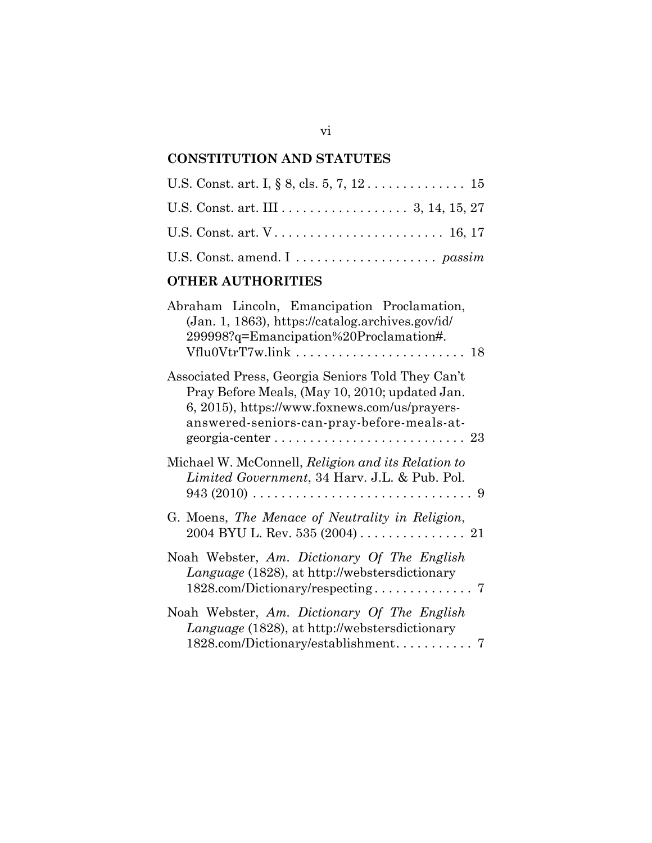# **CONSTITUTION AND STATUTES**

| U.S. Const. art. $V \ldots \ldots \ldots \ldots \ldots \ldots \ldots \ldots \ldots 16, 17$ |  |
|--------------------------------------------------------------------------------------------|--|
|                                                                                            |  |

# **OTHER AUTHORITIES**

| Abraham Lincoln, Emancipation Proclamation,<br>(Jan. 1, 1863), https://catalog.archives.gov/id/<br>299998?q=Emancipation%20Proclamation#.<br>Vflu0VtrT7w.link  18                                  |  |
|----------------------------------------------------------------------------------------------------------------------------------------------------------------------------------------------------|--|
| Associated Press, Georgia Seniors Told They Can't<br>Pray Before Meals, (May 10, 2010; updated Jan.<br>6, 2015), https://www.foxnews.com/us/prayers-<br>answered-seniors-can-pray-before-meals-at- |  |
| Michael W. McConnell, Religion and its Relation to<br>Limited Government, 34 Harv. J.L. & Pub. Pol.                                                                                                |  |
| G. Moens, The Menace of Neutrality in Religion,<br>$2004$ BYU L. Rev. 535 (2004) 21                                                                                                                |  |
| Noah Webster, Am. Dictionary Of The English<br>Language (1828), at http://webstersdictionary                                                                                                       |  |
| Noah Webster, Am. Dictionary Of The English<br>Language (1828), at http://webstersdictionary                                                                                                       |  |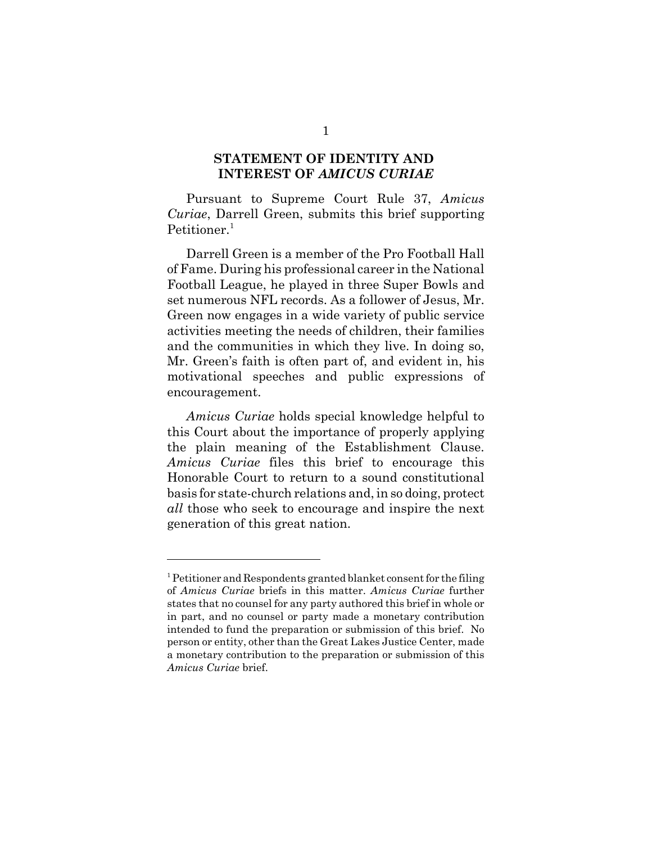#### **STATEMENT OF IDENTITY AND INTEREST OF** *AMICUS CURIAE*

Pursuant to Supreme Court Rule 37, *Amicus Curiae*, Darrell Green, submits this brief supporting Petitioner.<sup>1</sup>

Darrell Green is a member of the Pro Football Hall of Fame. During his professional career in the National Football League, he played in three Super Bowls and set numerous NFL records. As a follower of Jesus, Mr. Green now engages in a wide variety of public service activities meeting the needs of children, their families and the communities in which they live. In doing so, Mr. Green's faith is often part of, and evident in, his motivational speeches and public expressions of encouragement.

*Amicus Curiae* holds special knowledge helpful to this Court about the importance of properly applying the plain meaning of the Establishment Clause. *Amicus Curiae* files this brief to encourage this Honorable Court to return to a sound constitutional basis for state-church relations and, in so doing, protect *all* those who seek to encourage and inspire the next generation of this great nation.

 $1$  Petitioner and Respondents granted blanket consent for the filing of *Amicus Curiae* briefs in this matter. *Amicus Curiae* further states that no counsel for any party authored this brief in whole or in part, and no counsel or party made a monetary contribution intended to fund the preparation or submission of this brief. No person or entity, other than the Great Lakes Justice Center, made a monetary contribution to the preparation or submission of this *Amicus Curiae* brief.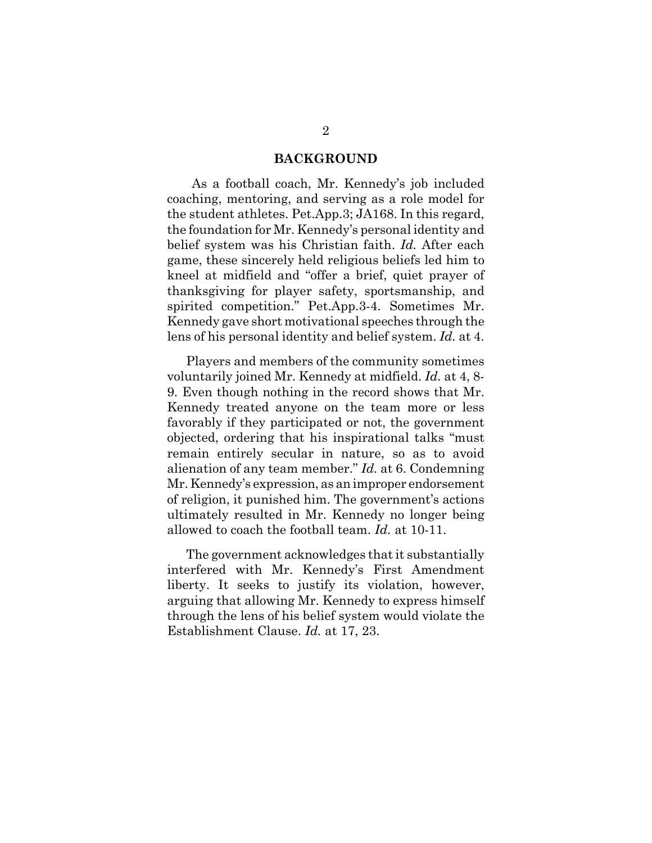#### **BACKGROUND**

 As a football coach, Mr. Kennedy's job included coaching, mentoring, and serving as a role model for the student athletes. Pet.App.3; JA168. In this regard, the foundation for Mr. Kennedy's personal identity and belief system was his Christian faith. *Id.* After each game, these sincerely held religious beliefs led him to kneel at midfield and "offer a brief, quiet prayer of thanksgiving for player safety, sportsmanship, and spirited competition." Pet.App.3-4. Sometimes Mr. Kennedy gave short motivational speeches through the lens of his personal identity and belief system. *Id.* at 4.

Players and members of the community sometimes voluntarily joined Mr. Kennedy at midfield. *Id.* at 4, 8- 9. Even though nothing in the record shows that Mr. Kennedy treated anyone on the team more or less favorably if they participated or not, the government objected, ordering that his inspirational talks "must remain entirely secular in nature, so as to avoid alienation of any team member." *Id.* at 6. Condemning Mr. Kennedy's expression, as an improper endorsement of religion, it punished him. The government's actions ultimately resulted in Mr. Kennedy no longer being allowed to coach the football team. *Id.* at 10-11.

The government acknowledges that it substantially interfered with Mr. Kennedy's First Amendment liberty. It seeks to justify its violation, however, arguing that allowing Mr. Kennedy to express himself through the lens of his belief system would violate the Establishment Clause. *Id.* at 17, 23.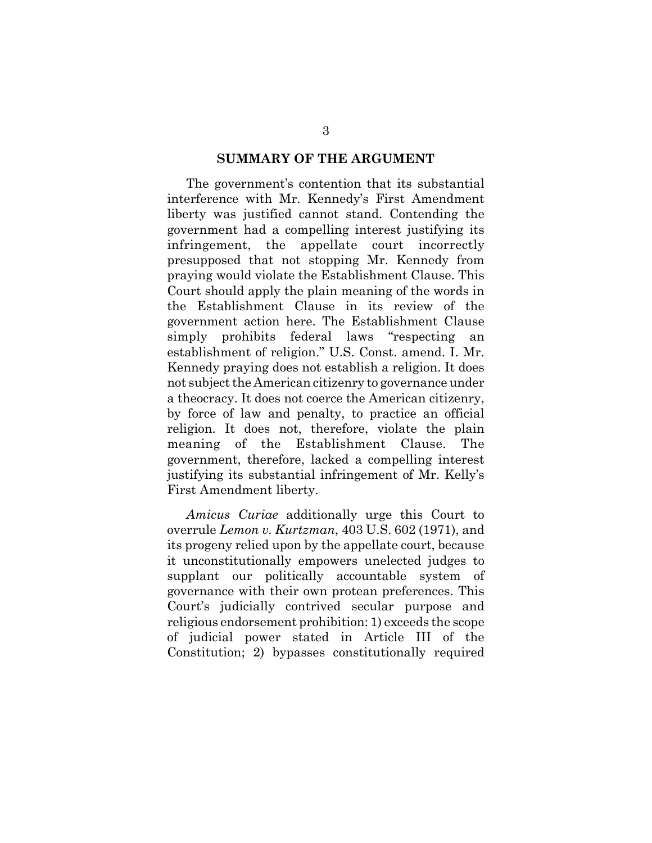#### **SUMMARY OF THE ARGUMENT**

The government's contention that its substantial interference with Mr. Kennedy's First Amendment liberty was justified cannot stand. Contending the government had a compelling interest justifying its infringement, the appellate court incorrectly presupposed that not stopping Mr. Kennedy from praying would violate the Establishment Clause. This Court should apply the plain meaning of the words in the Establishment Clause in its review of the government action here. The Establishment Clause simply prohibits federal laws "respecting an establishment of religion." U.S. Const. amend. I. Mr. Kennedy praying does not establish a religion. It does not subject the American citizenry to governance under a theocracy. It does not coerce the American citizenry, by force of law and penalty, to practice an official religion. It does not, therefore, violate the plain meaning of the Establishment Clause. The government, therefore, lacked a compelling interest justifying its substantial infringement of Mr. Kelly's First Amendment liberty.

*Amicus Curiae* additionally urge this Court to overrule *Lemon v. Kurtzman*, 403 U.S. 602 (1971), and its progeny relied upon by the appellate court, because it unconstitutionally empowers unelected judges to supplant our politically accountable system of governance with their own protean preferences. This Court's judicially contrived secular purpose and religious endorsement prohibition: 1) exceeds the scope of judicial power stated in Article III of the Constitution; 2) bypasses constitutionally required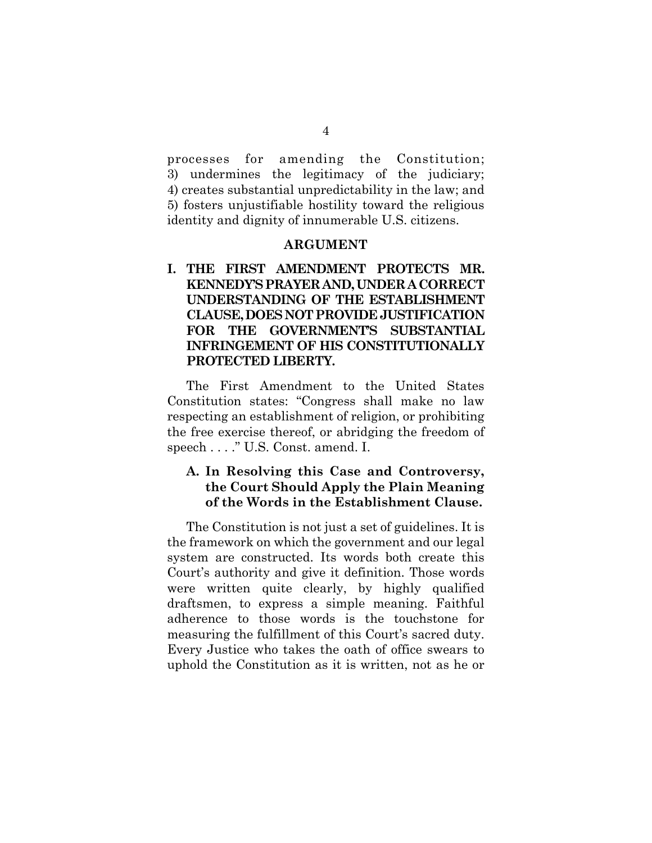processes for amending the Constitution; 3) undermines the legitimacy of the judiciary; 4) creates substantial unpredictability in the law; and 5) fosters unjustifiable hostility toward the religious identity and dignity of innumerable U.S. citizens.

#### **ARGUMENT**

## **I. THE FIRST AMENDMENT PROTECTS MR. KENNEDY'S PRAYER AND, UNDER A CORRECT UNDERSTANDING OF THE ESTABLISHMENT CLAUSE, DOES NOT PROVIDE JUSTIFICATION FOR THE GOVERNMENT'S SUBSTANTIAL INFRINGEMENT OF HIS CONSTITUTIONALLY PROTECTED LIBERTY.**

The First Amendment to the United States Constitution states: "Congress shall make no law respecting an establishment of religion, or prohibiting the free exercise thereof, or abridging the freedom of speech . . . ." U.S. Const. amend. I.

## **A. In Resolving this Case and Controversy, the Court Should Apply the Plain Meaning of the Words in the Establishment Clause.**

The Constitution is not just a set of guidelines. It is the framework on which the government and our legal system are constructed. Its words both create this Court's authority and give it definition. Those words were written quite clearly, by highly qualified draftsmen, to express a simple meaning. Faithful adherence to those words is the touchstone for measuring the fulfillment of this Court's sacred duty. Every Justice who takes the oath of office swears to uphold the Constitution as it is written, not as he or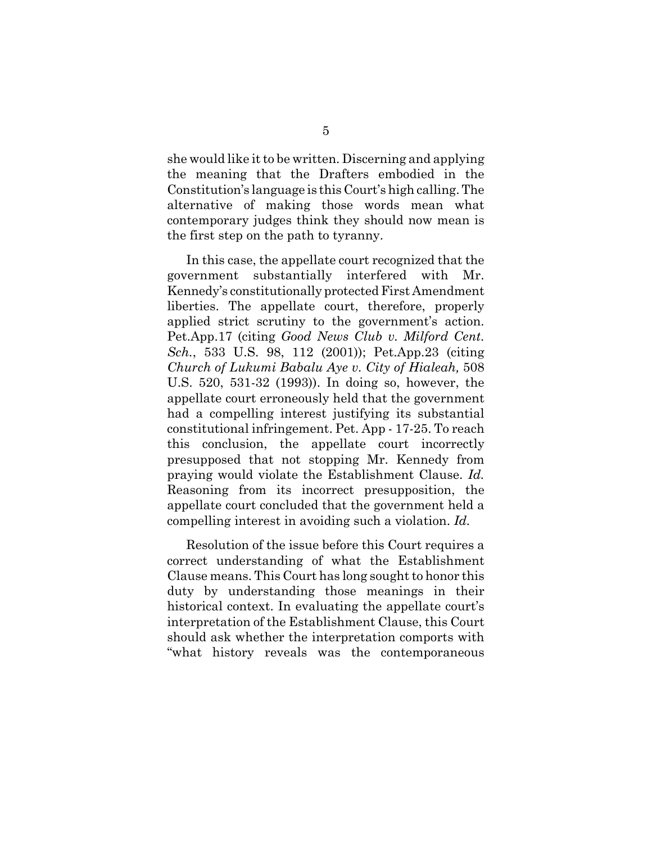she would like it to be written. Discerning and applying the meaning that the Drafters embodied in the Constitution's language is this Court's high calling. The alternative of making those words mean what contemporary judges think they should now mean is the first step on the path to tyranny.

In this case, the appellate court recognized that the government substantially interfered with Mr. Kennedy's constitutionally protected First Amendment liberties. The appellate court, therefore, properly applied strict scrutiny to the government's action. Pet.App.17 (citing *Good News Club v. Milford Cent. Sch.*, 533 U.S. 98, 112 (2001)); Pet.App.23 (citing *Church of Lukumi Babalu Aye v. City of Hialeah,* 508 U.S. 520, 531-32 (1993)). In doing so, however, the appellate court erroneously held that the government had a compelling interest justifying its substantial constitutional infringement. Pet. App - 17-25. To reach this conclusion, the appellate court incorrectly presupposed that not stopping Mr. Kennedy from praying would violate the Establishment Clause. *Id.* Reasoning from its incorrect presupposition, the appellate court concluded that the government held a compelling interest in avoiding such a violation. *Id.*

Resolution of the issue before this Court requires a correct understanding of what the Establishment Clause means. This Court has long sought to honor this duty by understanding those meanings in their historical context. In evaluating the appellate court's interpretation of the Establishment Clause, this Court should ask whether the interpretation comports with "what history reveals was the contemporaneous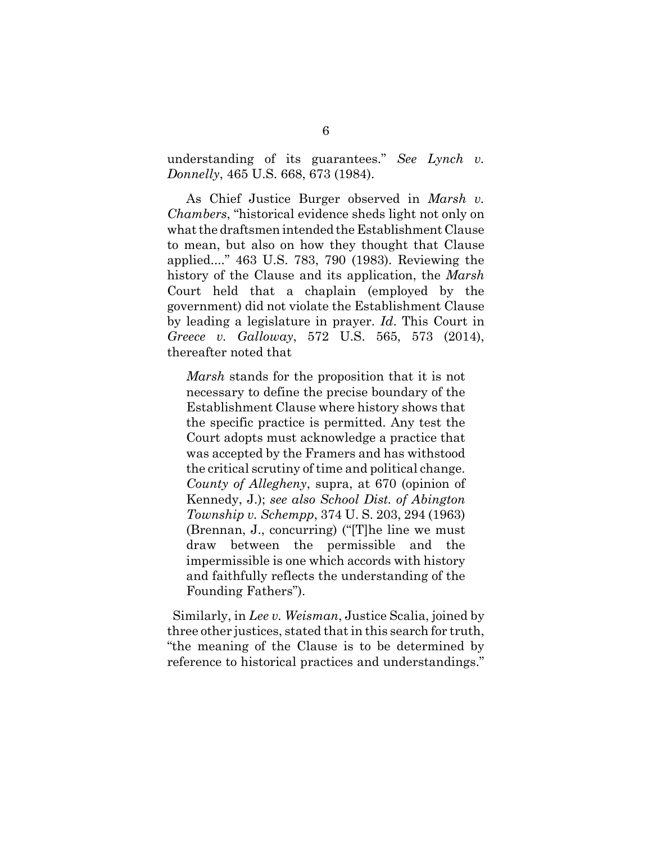understanding of its guarantees." *See Lynch v. Donnelly*, 465 U.S. 668, 673 (1984).

As Chief Justice Burger observed in *Marsh v. Chambers*, "historical evidence sheds light not only on what the draftsmen intended the Establishment Clause to mean, but also on how they thought that Clause applied...." 463 U.S. 783, 790 (1983). Reviewing the history of the Clause and its application, the *Marsh* Court held that a chaplain (employed by the government) did not violate the Establishment Clause by leading a legislature in prayer. *Id*. This Court in *Greece v. Galloway*, 572 U.S. 565, 573 (2014), thereafter noted that

*Marsh* stands for the proposition that it is not necessary to define the precise boundary of the Establishment Clause where history shows that the specific practice is permitted. Any test the Court adopts must acknowledge a practice that was accepted by the Framers and has withstood the critical scrutiny of time and political change. *County of Allegheny*, supra, at 670 (opinion of Kennedy, J.); *see also School Dist. of Abington Township v. Schempp*, 374 U. S. 203, 294 (1963) (Brennan, J., concurring) ("[T]he line we must draw between the permissible and the impermissible is one which accords with history and faithfully reflects the understanding of the Founding Fathers").

 Similarly, in *Lee v. Weisman*, Justice Scalia, joined by three other justices, stated that in this search for truth, "the meaning of the Clause is to be determined by reference to historical practices and understandings."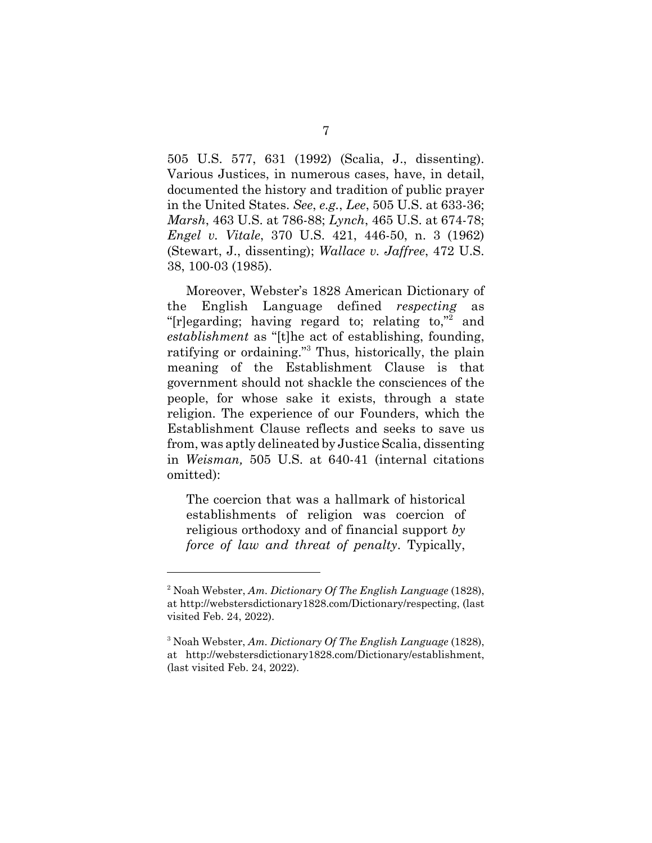505 U.S. 577, 631 (1992) (Scalia, J., dissenting). Various Justices, in numerous cases, have, in detail, documented the history and tradition of public prayer in the United States. *See*, *e.g.*, *Lee*, 505 U.S. at 633-36; *Marsh*, 463 U.S. at 786-88; *Lynch*, 465 U.S. at 674-78; *Engel v. Vitale*, 370 U.S. 421, 446-50, n. 3 (1962) (Stewart, J., dissenting); *Wallace v. Jaffree*, 472 U.S. 38, 100-03 (1985).

Moreover, Webster's 1828 American Dictionary of the English Language defined *respecting* as "[r]egarding; having regard to; relating to,"<sup>2</sup> and *establishment* as "[t]he act of establishing, founding, ratifying or ordaining."<sup>3</sup> Thus, historically, the plain meaning of the Establishment Clause is that government should not shackle the consciences of the people, for whose sake it exists, through a state religion. The experience of our Founders, which the Establishment Clause reflects and seeks to save us from, was aptly delineated by Justice Scalia, dissenting in *Weisman,* 505 U.S. at 640-41 (internal citations omitted):

The coercion that was a hallmark of historical establishments of religion was coercion of religious orthodoxy and of financial support *by force of law and threat of penalty*. Typically,

<sup>2</sup> Noah Webster, *Am. Dictionary Of The English Language* (1828), at http://webstersdictionary1828.com/Dictionary/respecting, (last visited Feb. 24, 2022).

<sup>3</sup> Noah Webster, *Am. Dictionary Of The English Language* (1828), at http://webstersdictionary1828.com/Dictionary/establishment, (last visited Feb. 24, 2022).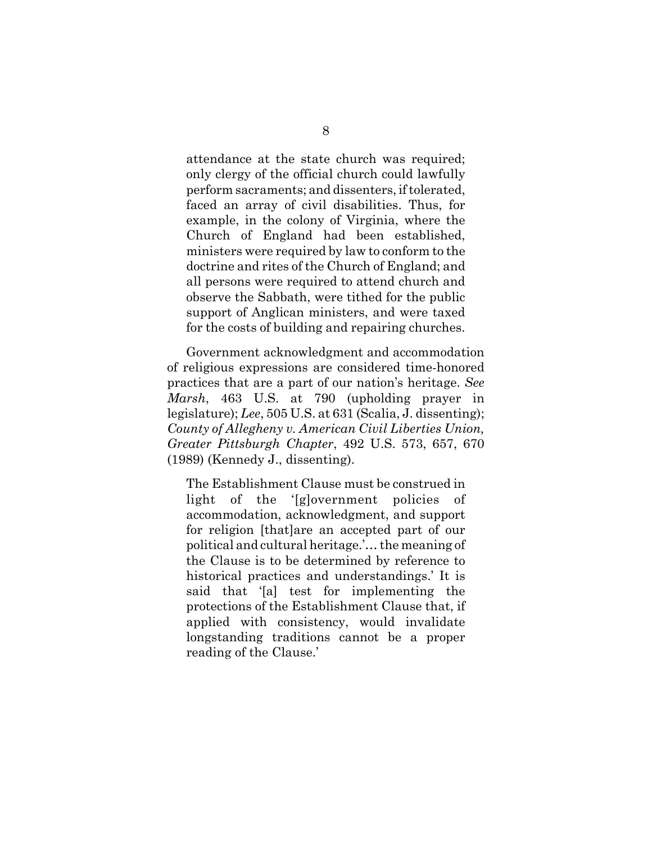attendance at the state church was required; only clergy of the official church could lawfully perform sacraments; and dissenters, if tolerated, faced an array of civil disabilities. Thus, for example, in the colony of Virginia, where the Church of England had been established, ministers were required by law to conform to the doctrine and rites of the Church of England; and all persons were required to attend church and observe the Sabbath, were tithed for the public support of Anglican ministers, and were taxed for the costs of building and repairing churches.

Government acknowledgment and accommodation of religious expressions are considered time-honored practices that are a part of our nation's heritage. *See Marsh*, 463 U.S. at 790 (upholding prayer in legislature); *Lee*, 505 U.S. at 631 (Scalia, J. dissenting); *County of Allegheny v. American Civil Liberties Union, Greater Pittsburgh Chapter*, 492 U.S. 573, 657, 670 (1989) (Kennedy J., dissenting).

The Establishment Clause must be construed in light of the '[g]overnment policies of accommodation, acknowledgment, and support for religion [that]are an accepted part of our political and cultural heritage.'… the meaning of the Clause is to be determined by reference to historical practices and understandings.' It is said that '[a] test for implementing the protections of the Establishment Clause that, if applied with consistency, would invalidate longstanding traditions cannot be a proper reading of the Clause.'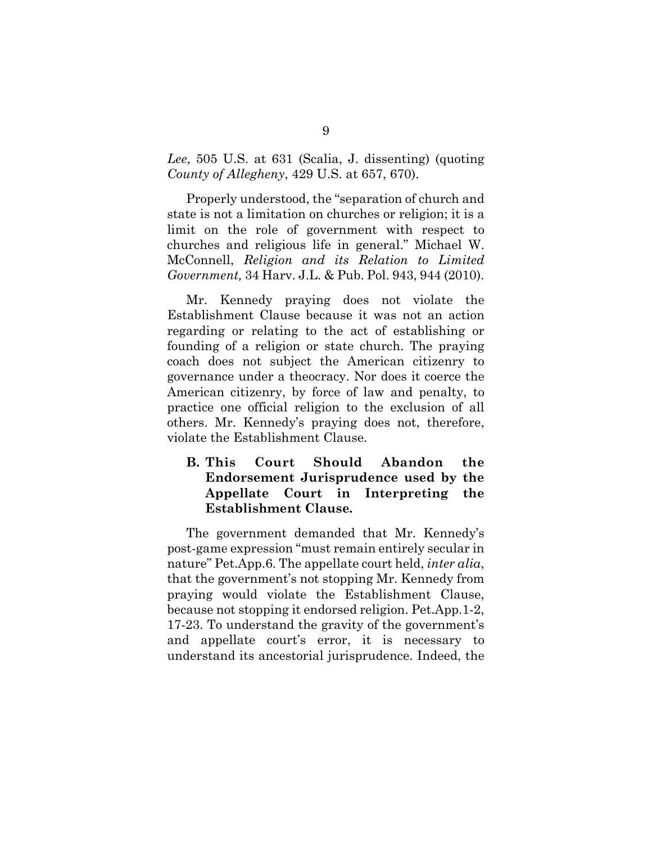*Lee*, 505 U.S. at 631 (Scalia, J. dissenting) (quoting *County of Allegheny*, 429 U.S. at 657, 670).

Properly understood, the "separation of church and state is not a limitation on churches or religion; it is a limit on the role of government with respect to churches and religious life in general." Michael W. McConnell, *Religion and its Relation to Limited Government,* 34 Harv. J.L. & Pub. Pol. 943, 944 (2010).

Mr. Kennedy praying does not violate the Establishment Clause because it was not an action regarding or relating to the act of establishing or founding of a religion or state church. The praying coach does not subject the American citizenry to governance under a theocracy. Nor does it coerce the American citizenry, by force of law and penalty, to practice one official religion to the exclusion of all others. Mr. Kennedy's praying does not, therefore, violate the Establishment Clause.

## **B. This Court Should Abandon the Endorsement Jurisprudence used by the Appellate Court in Interpreting the Establishment Clause***.*

The government demanded that Mr. Kennedy's post-game expression "must remain entirely secular in nature" Pet.App.6. The appellate court held, *inter alia*, that the government's not stopping Mr. Kennedy from praying would violate the Establishment Clause, because not stopping it endorsed religion. Pet.App.1-2, 17-23. To understand the gravity of the government's and appellate court's error, it is necessary to understand its ancestorial jurisprudence. Indeed, the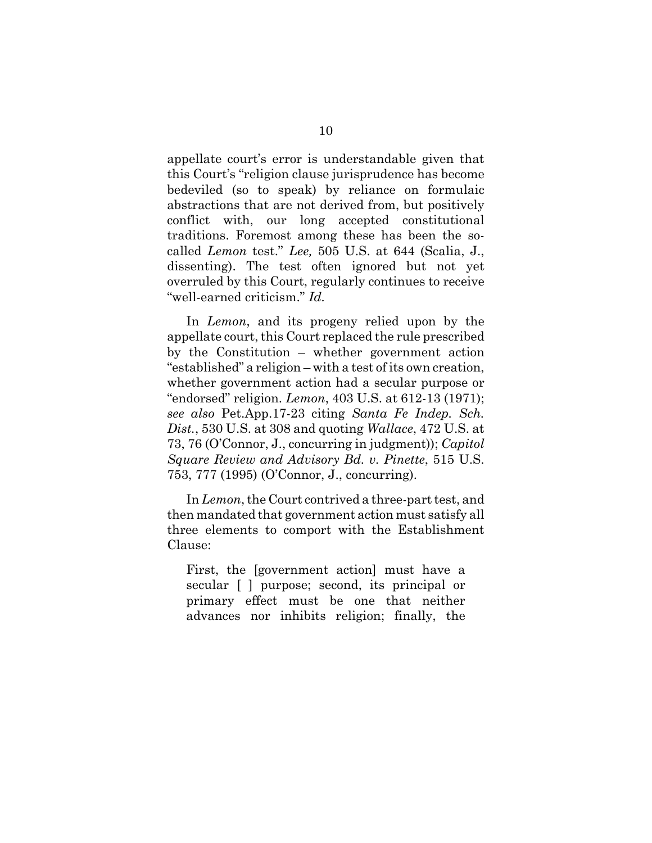appellate court's error is understandable given that this Court's "religion clause jurisprudence has become bedeviled (so to speak) by reliance on formulaic abstractions that are not derived from, but positively conflict with, our long accepted constitutional traditions. Foremost among these has been the socalled *Lemon* test." *Lee,* 505 U.S. at 644 (Scalia, J., dissenting). The test often ignored but not yet overruled by this Court, regularly continues to receive "well-earned criticism." *Id.*

In *Lemon*, and its progeny relied upon by the appellate court, this Court replaced the rule prescribed by the Constitution – whether government action "established" a religion – with a test of its own creation, whether government action had a secular purpose or "endorsed" religion. *Lemon*, 403 U.S. at 612-13 (1971); *see also* Pet.App.17-23 citing *Santa Fe Indep. Sch. Dist.*, 530 U.S. at 308 and quoting *Wallace*, 472 U.S. at 73, 76 (O'Connor, J., concurring in judgment)); *Capitol Square Review and Advisory Bd. v. Pinette*, 515 U.S. 753, 777 (1995) (O'Connor, J., concurring).

In *Lemon*, the Court contrived a three-part test, and then mandated that government action must satisfy all three elements to comport with the Establishment Clause:

First, the [government action] must have a secular [ ] purpose; second, its principal or primary effect must be one that neither advances nor inhibits religion; finally, the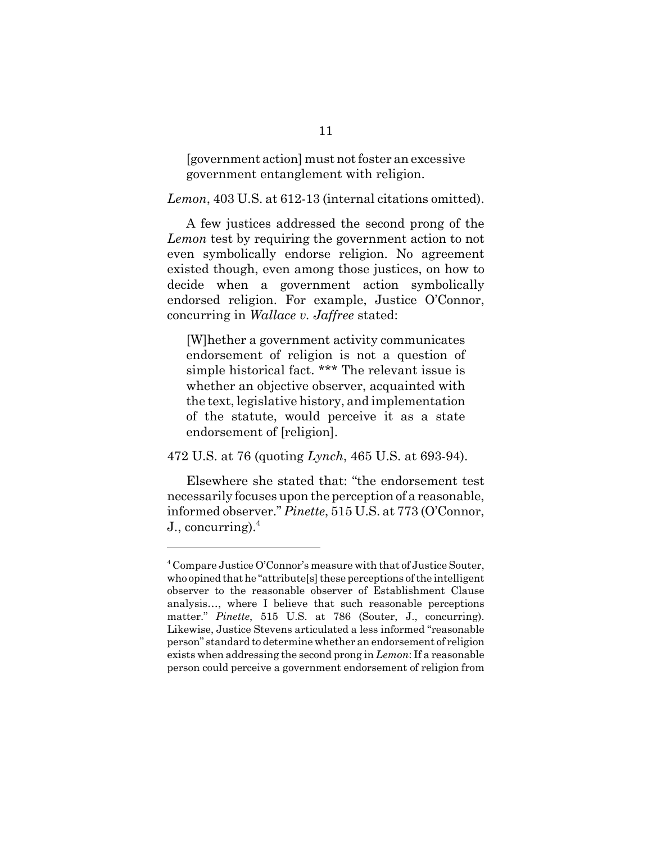[government action] must not foster an excessive government entanglement with religion.

*Lemon*, 403 U.S. at 612-13 (internal citations omitted).

A few justices addressed the second prong of the *Lemon* test by requiring the government action to not even symbolically endorse religion. No agreement existed though, even among those justices, on how to decide when a government action symbolically endorsed religion. For example, Justice O'Connor, concurring in *Wallace v. Jaffree* stated:

[W]hether a government activity communicates endorsement of religion is not a question of simple historical fact. \*\*\* The relevant issue is whether an objective observer, acquainted with the text, legislative history, and implementation of the statute, would perceive it as a state endorsement of [religion].

472 U.S. at 76 (quoting *Lynch*, 465 U.S. at 693-94).

Elsewhere she stated that: "the endorsement test necessarily focuses upon the perception of a reasonable, informed observer." *Pinette*, 515 U.S. at 773 (O'Connor, J., concurring). $4$ 

<sup>&</sup>lt;sup>4</sup> Compare Justice O'Connor's measure with that of Justice Souter, who opined that he "attribute[s] these perceptions of the intelligent observer to the reasonable observer of Establishment Clause analysis…, where I believe that such reasonable perceptions matter." *Pinette*, 515 U.S. at 786 (Souter, J., concurring). Likewise, Justice Stevens articulated a less informed "reasonable person" standard to determine whether an endorsement of religion exists when addressing the second prong in *Lemon*: If a reasonable person could perceive a government endorsement of religion from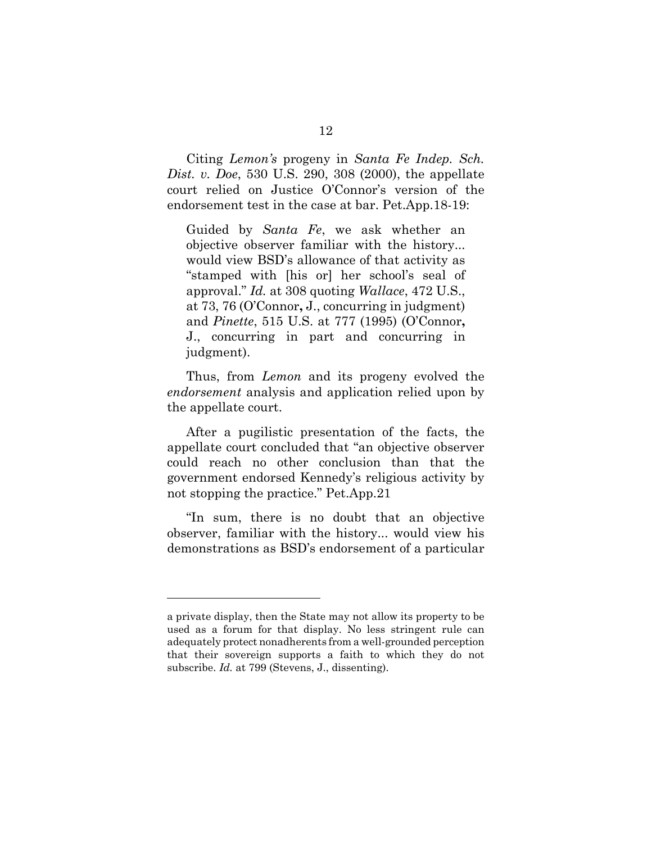Citing *Lemon's* progeny in *Santa Fe Indep. Sch. Dist. v. Doe*, 530 U.S. 290, 308 (2000), the appellate court relied on Justice O'Connor's version of the endorsement test in the case at bar. Pet.App.18-19:

Guided by *Santa Fe*, we ask whether an objective observer familiar with the history... would view BSD's allowance of that activity as "stamped with [his or] her school's seal of approval." *Id.* at 308 quoting *Wallace*, 472 U.S., at 73, 76 (O'Connor**,** J., concurring in judgment) and *Pinette*, 515 U.S. at 777 (1995) (O'Connor**,** J., concurring in part and concurring in judgment).

Thus, from *Lemon* and its progeny evolved the *endorsement* analysis and application relied upon by the appellate court.

After a pugilistic presentation of the facts, the appellate court concluded that "an objective observer could reach no other conclusion than that the government endorsed Kennedy's religious activity by not stopping the practice." Pet.App.21

"In sum, there is no doubt that an objective observer, familiar with the history... would view his demonstrations as BSD's endorsement of a particular

a private display, then the State may not allow its property to be used as a forum for that display. No less stringent rule can adequately protect nonadherents from a well-grounded perception that their sovereign supports a faith to which they do not subscribe. *Id.* at 799 (Stevens, J., dissenting).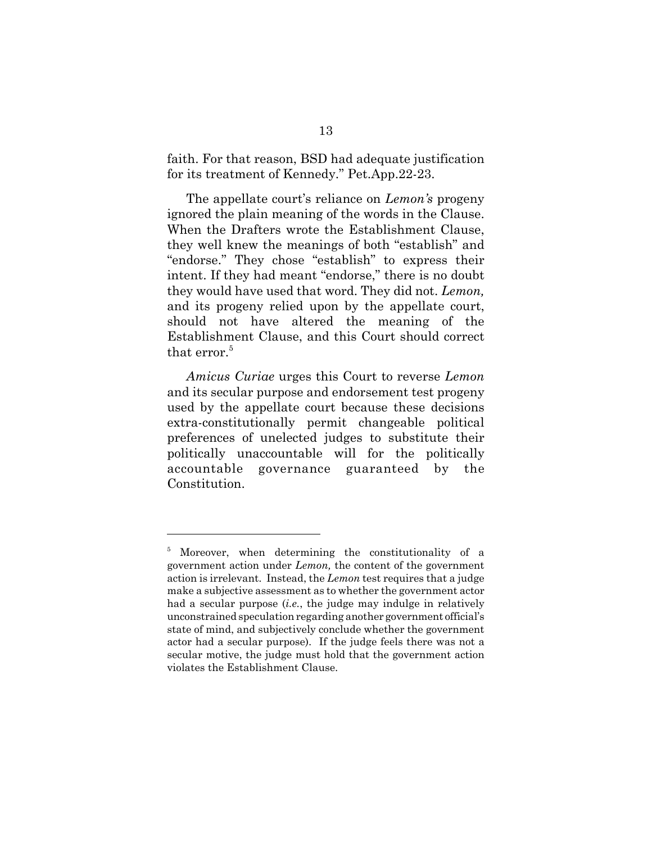faith. For that reason, BSD had adequate justification for its treatment of Kennedy." Pet.App.22-23.

The appellate court's reliance on *Lemon's* progeny ignored the plain meaning of the words in the Clause. When the Drafters wrote the Establishment Clause, they well knew the meanings of both "establish" and "endorse." They chose "establish" to express their intent. If they had meant "endorse," there is no doubt they would have used that word. They did not. *Lemon,* and its progeny relied upon by the appellate court, should not have altered the meaning of the Establishment Clause, and this Court should correct that error.<sup>5</sup>

*Amicus Curiae* urges this Court to reverse *Lemon* and its secular purpose and endorsement test progeny used by the appellate court because these decisions extra-constitutionally permit changeable political preferences of unelected judges to substitute their politically unaccountable will for the politically accountable governance guaranteed by the Constitution.

<sup>5</sup> Moreover, when determining the constitutionality of a government action under *Lemon,* the content of the government action is irrelevant. Instead, the *Lemon* test requires that a judge make a subjective assessment as to whether the government actor had a secular purpose (*i.e.*, the judge may indulge in relatively unconstrained speculation regarding another government official's state of mind, and subjectively conclude whether the government actor had a secular purpose). If the judge feels there was not a secular motive, the judge must hold that the government action violates the Establishment Clause.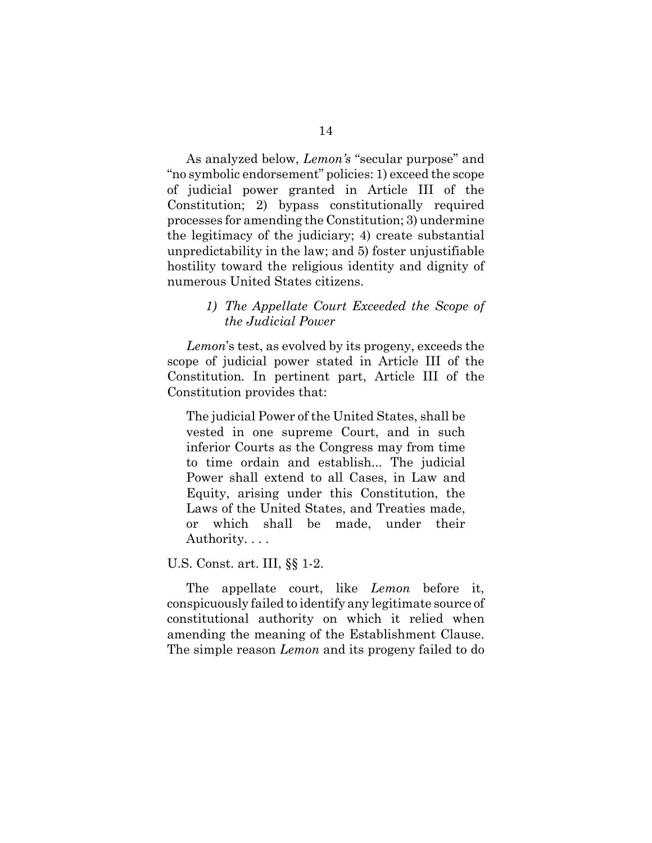As analyzed below, *Lemon's* "secular purpose" and "no symbolic endorsement" policies: 1) exceed the scope of judicial power granted in Article III of the Constitution; 2) bypass constitutionally required processes for amending the Constitution; 3) undermine the legitimacy of the judiciary; 4) create substantial unpredictability in the law; and 5) foster unjustifiable hostility toward the religious identity and dignity of numerous United States citizens.

#### *1) The Appellate Court Exceeded the Scope of the Judicial Power*

*Lemon*'s test, as evolved by its progeny, exceeds the scope of judicial power stated in Article III of the Constitution*.* In pertinent part, Article III of the Constitution provides that:

The judicial Power of the United States, shall be vested in one supreme Court, and in such inferior Courts as the Congress may from time to time ordain and establish... The judicial Power shall extend to all Cases, in Law and Equity, arising under this Constitution, the Laws of the United States, and Treaties made, or which shall be made, under their Authority. . . .

#### U.S. Const. art. III, §§ 1-2.

The appellate court, like *Lemon* before it, conspicuously failed to identify any legitimate source of constitutional authority on which it relied when amending the meaning of the Establishment Clause. The simple reason *Lemon* and its progeny failed to do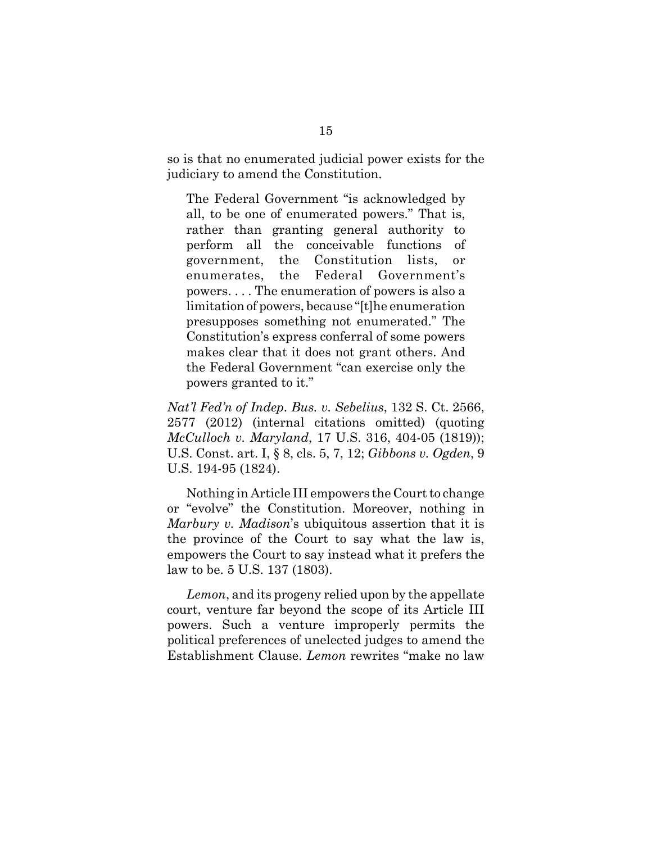so is that no enumerated judicial power exists for the judiciary to amend the Constitution.

The Federal Government "is acknowledged by all, to be one of enumerated powers." That is, rather than granting general authority to perform all the conceivable functions of government, the Constitution lists, or enumerates, the Federal Government's powers. . . . The enumeration of powers is also a limitation of powers, because "[t]he enumeration presupposes something not enumerated." The Constitution's express conferral of some powers makes clear that it does not grant others. And the Federal Government "can exercise only the powers granted to it."

*Nat'l Fed'n of Indep. Bus. v. Sebelius*, 132 S. Ct. 2566, 2577 (2012) (internal citations omitted) (quoting *McCulloch v. Maryland*, 17 U.S. 316, 404-05 (1819)); U.S. Const. art. I, § 8, cls. 5, 7, 12; *Gibbons v. Ogden*, 9 U.S. 194-95 (1824).

Nothing in Article III empowers the Court to change or "evolve" the Constitution. Moreover, nothing in *Marbury v. Madison*'s ubiquitous assertion that it is the province of the Court to say what the law is, empowers the Court to say instead what it prefers the law to be. 5 U.S. 137 (1803).

*Lemon*, and its progeny relied upon by the appellate court, venture far beyond the scope of its Article III powers. Such a venture improperly permits the political preferences of unelected judges to amend the Establishment Clause. *Lemon* rewrites "make no law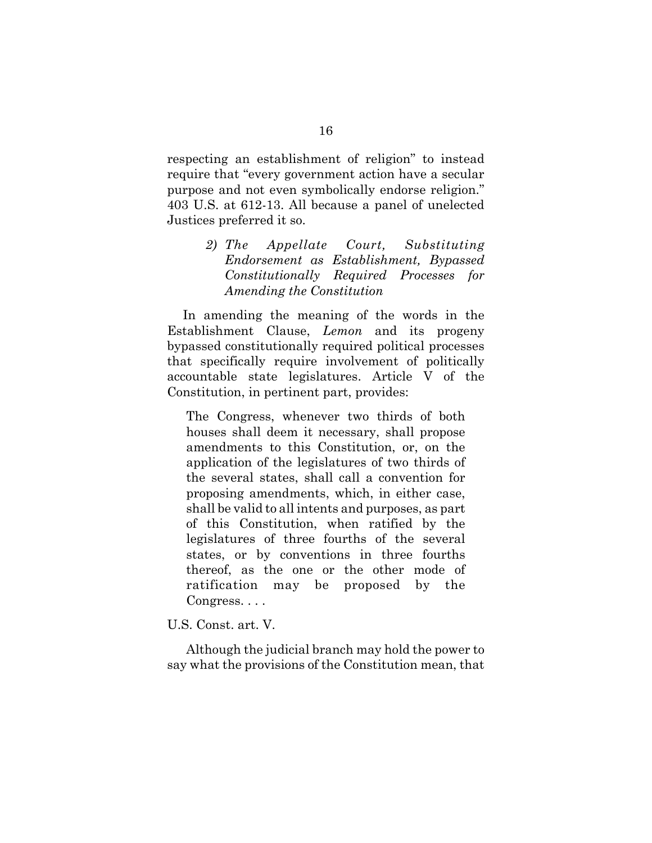respecting an establishment of religion" to instead require that "every government action have a secular purpose and not even symbolically endorse religion." 403 U.S. at 612-13. All because a panel of unelected Justices preferred it so.

> *2) The Appellate Court, Substituting Endorsement as Establishment, Bypassed Constitutionally Required Processes for Amending the Constitution*

 In amending the meaning of the words in the Establishment Clause, *Lemon* and its progeny bypassed constitutionally required political processes that specifically require involvement of politically accountable state legislatures. Article V of the Constitution, in pertinent part, provides:

The Congress, whenever two thirds of both houses shall deem it necessary, shall propose amendments to this Constitution, or, on the application of the legislatures of two thirds of the several states, shall call a convention for proposing amendments, which, in either case, shall be valid to all intents and purposes, as part of this Constitution, when ratified by the legislatures of three fourths of the several states, or by conventions in three fourths thereof, as the one or the other mode of ratification may be proposed by the Congress. . . .

U.S. Const. art. V.

Although the judicial branch may hold the power to say what the provisions of the Constitution mean, that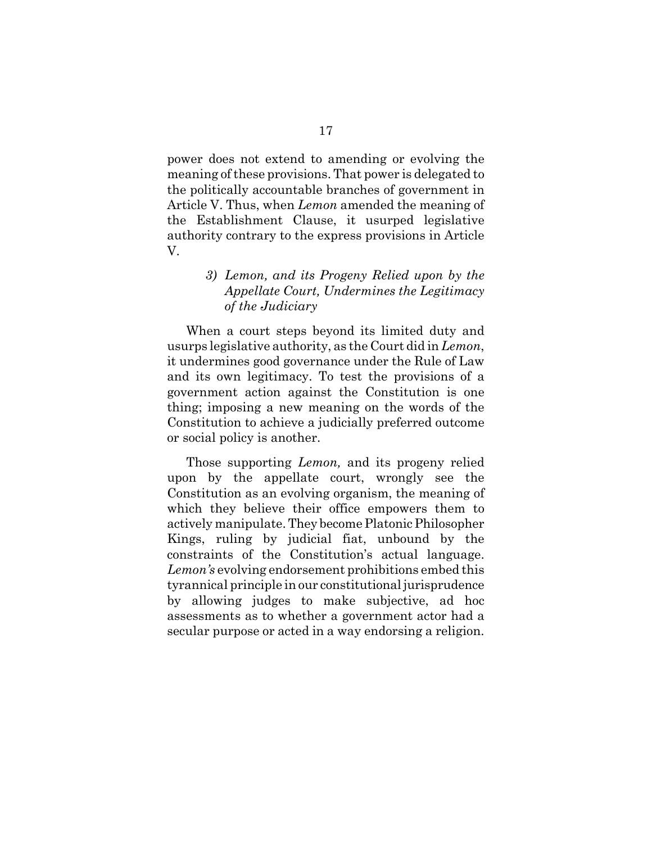power does not extend to amending or evolving the meaning of these provisions. That power is delegated to the politically accountable branches of government in Article V. Thus, when *Lemon* amended the meaning of the Establishment Clause, it usurped legislative authority contrary to the express provisions in Article V.

# *3) Lemon, and its Progeny Relied upon by the Appellate Court, Undermines the Legitimacy of the Judiciary* When a court steps beyond its limited duty and

usurps legislative authority, as the Court did in *Lemon*, it undermines good governance under the Rule of Law and its own legitimacy. To test the provisions of a government action against the Constitution is one thing; imposing a new meaning on the words of the Constitution to achieve a judicially preferred outcome or social policy is another.

Those supporting *Lemon,* and its progeny relied upon by the appellate court, wrongly see the Constitution as an evolving organism, the meaning of which they believe their office empowers them to actively manipulate. They become Platonic Philosopher Kings, ruling by judicial fiat, unbound by the constraints of the Constitution's actual language. *Lemon's* evolving endorsement prohibitions embed this tyrannical principle in our constitutional jurisprudence by allowing judges to make subjective, ad hoc assessments as to whether a government actor had a secular purpose or acted in a way endorsing a religion.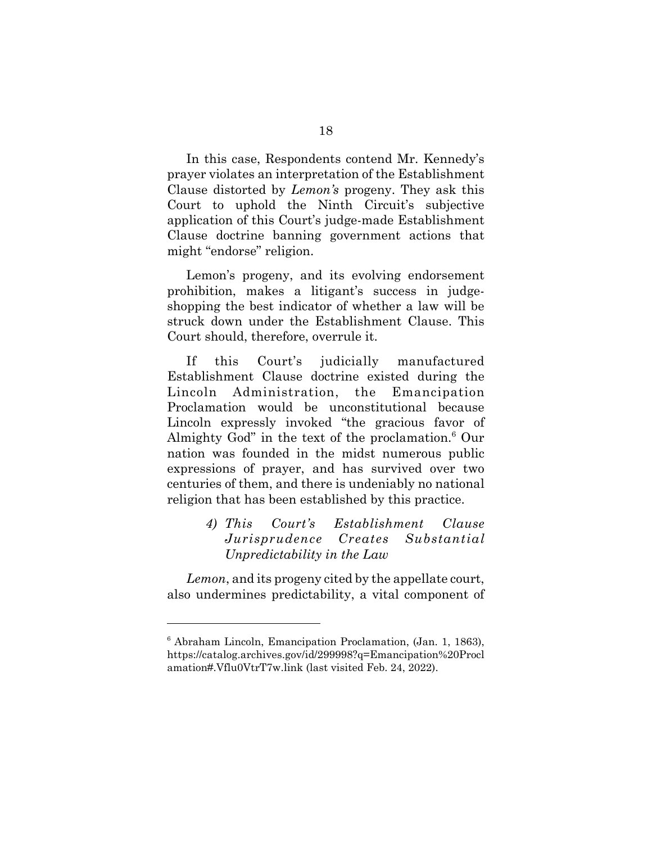In this case, Respondents contend Mr. Kennedy's prayer violates an interpretation of the Establishment Clause distorted by *Lemon's* progeny. They ask this Court to uphold the Ninth Circuit's subjective application of this Court's judge-made Establishment Clause doctrine banning government actions that might "endorse" religion.

Lemon's progeny, and its evolving endorsement prohibition, makes a litigant's success in judgeshopping the best indicator of whether a law will be struck down under the Establishment Clause. This Court should, therefore, overrule it.

If this Court's judicially manufactured Establishment Clause doctrine existed during the Lincoln Administration, the Emancipation Proclamation would be unconstitutional because Lincoln expressly invoked "the gracious favor of Almighty God" in the text of the proclamation.<sup>6</sup> Our nation was founded in the midst numerous public expressions of prayer, and has survived over two centuries of them, and there is undeniably no national religion that has been established by this practice.

## *4) This Court's Establishment Clause Jurisprudence Creates Substantial Unpredictability in the Law*

*Lemon*, and its progeny cited by the appellate court, also undermines predictability, a vital component of

<sup>6</sup> Abraham Lincoln, Emancipation Proclamation, (Jan. 1, 1863), https://catalog.archives.gov/id/299998?q=Emancipation%20Procl amation#.Vflu0VtrT7w.link (last visited Feb. 24, 2022).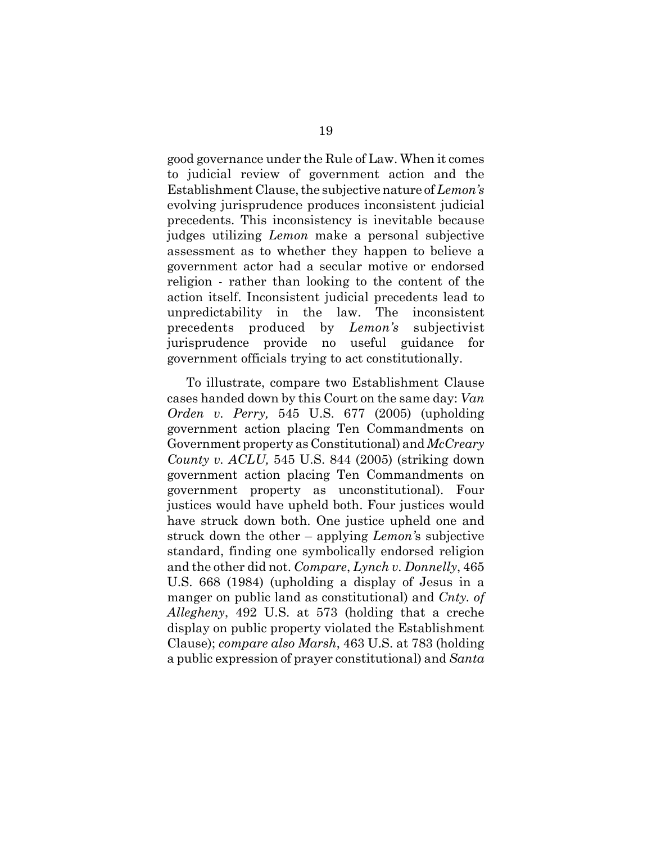good governance under the Rule of Law. When it comes to judicial review of government action and the Establishment Clause, the subjective nature of *Lemon's* evolving jurisprudence produces inconsistent judicial precedents. This inconsistency is inevitable because judges utilizing *Lemon* make a personal subjective assessment as to whether they happen to believe a government actor had a secular motive or endorsed religion - rather than looking to the content of the action itself. Inconsistent judicial precedents lead to unpredictability in the law. The inconsistent precedents produced by *Lemon's* subjectivist jurisprudence provide no useful guidance for government officials trying to act constitutionally.

To illustrate, compare two Establishment Clause cases handed down by this Court on the same day: *Van Orden v. Perry,* 545 U.S. 677 (2005) (upholding government action placing Ten Commandments on Government property as Constitutional) and *McCreary County v. ACLU,* 545 U.S. 844 (2005) (striking down government action placing Ten Commandments on government property as unconstitutional). Four justices would have upheld both. Four justices would have struck down both. One justice upheld one and struck down the other – applying *Lemon'*s subjective standard, finding one symbolically endorsed religion and the other did not. *Compare*, *Lynch v. Donnelly*, 465 U.S. 668 (1984) (upholding a display of Jesus in a manger on public land as constitutional) and *Cnty. of Allegheny*, 492 U.S. at 573 (holding that a creche display on public property violated the Establishment Clause); *compare also Marsh*, 463 U.S. at 783 (holding a public expression of prayer constitutional) and *Santa*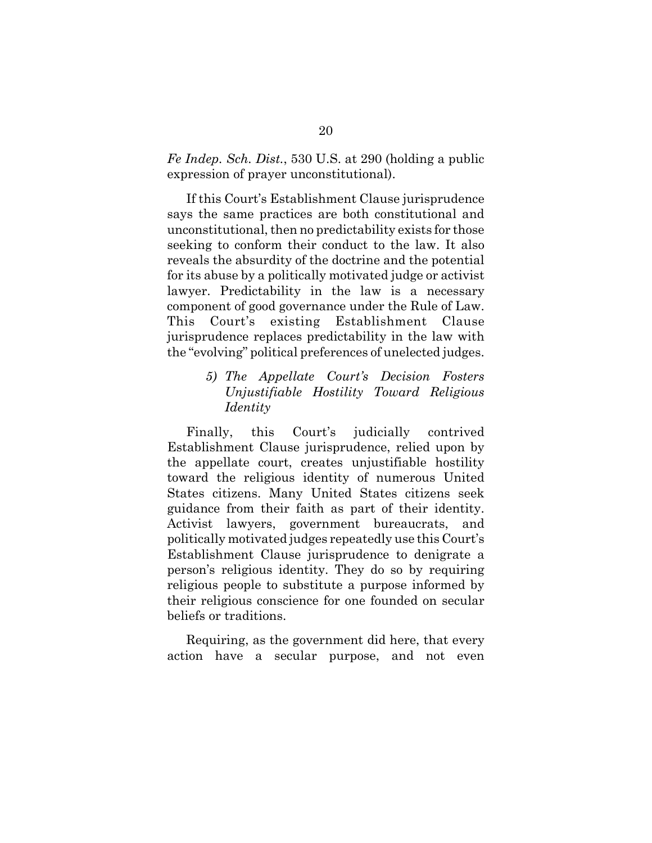*Fe Indep. Sch. Dist.*, 530 U.S. at 290 (holding a public expression of prayer unconstitutional).

If this Court's Establishment Clause jurisprudence says the same practices are both constitutional and unconstitutional, then no predictability exists for those seeking to conform their conduct to the law. It also reveals the absurdity of the doctrine and the potential for its abuse by a politically motivated judge or activist lawyer. Predictability in the law is a necessary component of good governance under the Rule of Law. This Court's existing Establishment Clause jurisprudence replaces predictability in the law with the "evolving" political preferences of unelected judges.

## *5) The Appellate Court's Decision Fosters Unjustifiable Hostility Toward Religious Identity*

Finally, this Court's judicially contrived Establishment Clause jurisprudence, relied upon by the appellate court, creates unjustifiable hostility toward the religious identity of numerous United States citizens. Many United States citizens seek guidance from their faith as part of their identity. Activist lawyers, government bureaucrats, and politically motivated judges repeatedly use this Court's Establishment Clause jurisprudence to denigrate a person's religious identity. They do so by requiring religious people to substitute a purpose informed by their religious conscience for one founded on secular beliefs or traditions.

Requiring, as the government did here, that every action have a secular purpose, and not even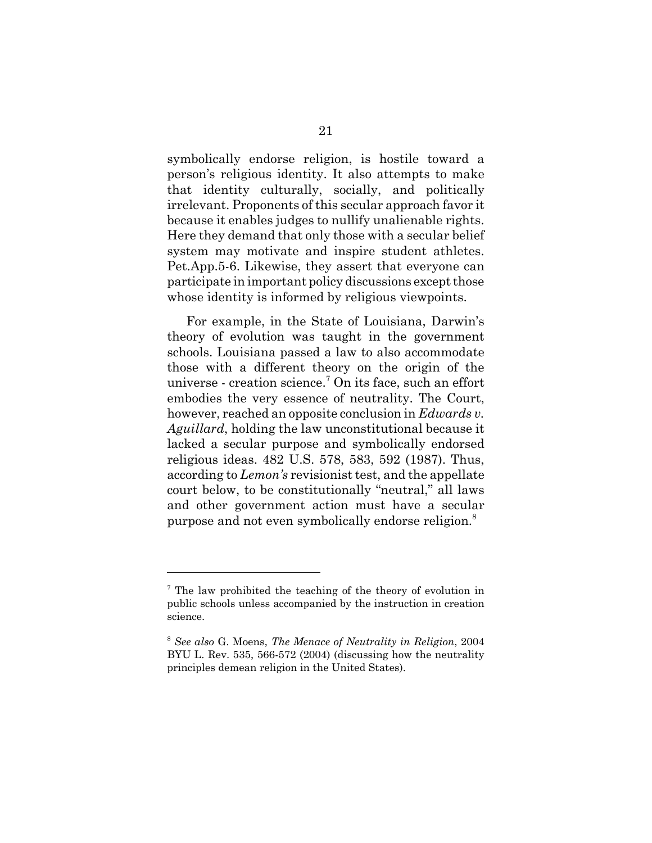symbolically endorse religion, is hostile toward a person's religious identity. It also attempts to make that identity culturally, socially, and politically irrelevant. Proponents of this secular approach favor it because it enables judges to nullify unalienable rights. Here they demand that only those with a secular belief system may motivate and inspire student athletes. Pet.App.5-6. Likewise, they assert that everyone can participate in important policy discussions except those whose identity is informed by religious viewpoints.

For example, in the State of Louisiana, Darwin's theory of evolution was taught in the government schools. Louisiana passed a law to also accommodate those with a different theory on the origin of the universe - creation science.7 On its face, such an effort embodies the very essence of neutrality. The Court, however, reached an opposite conclusion in *Edwards v. Aguillard*, holding the law unconstitutional because it lacked a secular purpose and symbolically endorsed religious ideas. 482 U.S. 578, 583, 592 (1987). Thus, according to *Lemon's* revisionist test, and the appellate court below, to be constitutionally "neutral," all laws and other government action must have a secular purpose and not even symbolically endorse religion.<sup>8</sup>

<sup>&</sup>lt;sup>7</sup> The law prohibited the teaching of the theory of evolution in public schools unless accompanied by the instruction in creation science.

<sup>8</sup> *See also* G. Moens, *The Menace of Neutrality in Religion*, 2004 BYU L. Rev. 535, 566-572 (2004) (discussing how the neutrality principles demean religion in the United States).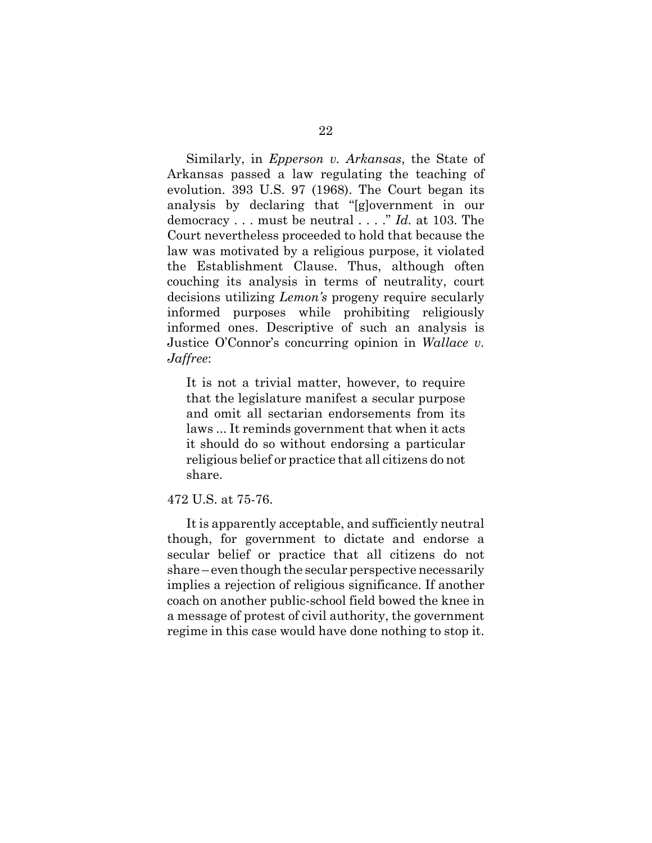Similarly, in *Epperson v. Arkansas*, the State of Arkansas passed a law regulating the teaching of evolution. 393 U.S. 97 (1968). The Court began its analysis by declaring that "[g]overnment in our democracy . . . must be neutral . . . ." *Id.* at 103. The Court nevertheless proceeded to hold that because the law was motivated by a religious purpose, it violated the Establishment Clause. Thus, although often couching its analysis in terms of neutrality, court decisions utilizing *Lemon's* progeny require secularly informed purposes while prohibiting religiously informed ones. Descriptive of such an analysis is Justice O'Connor's concurring opinion in *Wallace v. Jaffree*:

It is not a trivial matter, however, to require that the legislature manifest a secular purpose and omit all sectarian endorsements from its laws ... It reminds government that when it acts it should do so without endorsing a particular religious belief or practice that all citizens do not share.

#### 472 U.S. at 75-76.

It is apparently acceptable, and sufficiently neutral though, for government to dictate and endorse a secular belief or practice that all citizens do not share – even though the secular perspective necessarily implies a rejection of religious significance. If another coach on another public-school field bowed the knee in a message of protest of civil authority, the government regime in this case would have done nothing to stop it.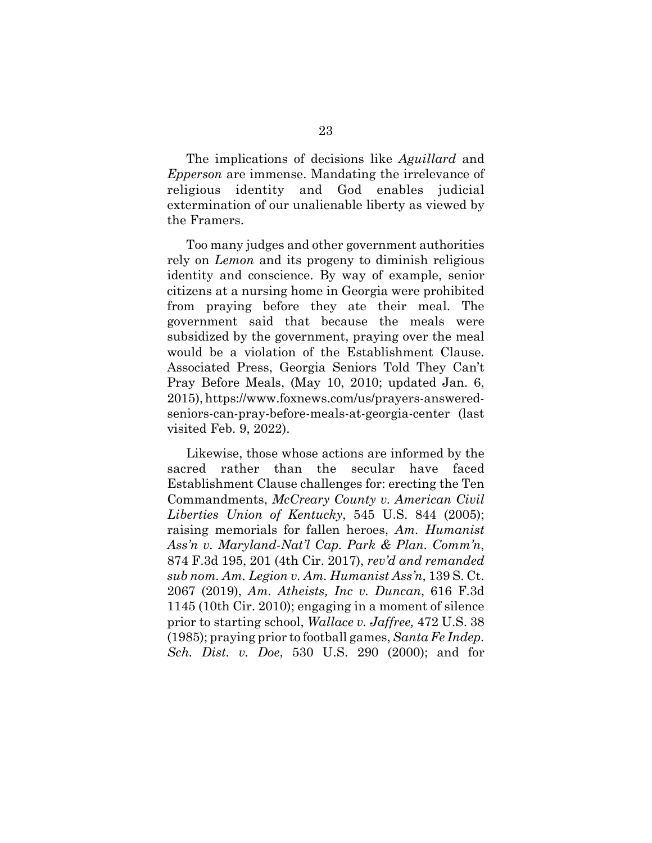The implications of decisions like *Aguillard* and *Epperson* are immense. Mandating the irrelevance of religious identity and God enables judicial extermination of our unalienable liberty as viewed by the Framers.

Too many judges and other government authorities rely on *Lemon* and its progeny to diminish religious identity and conscience. By way of example, senior citizens at a nursing home in Georgia were prohibited from praying before they ate their meal. The government said that because the meals were subsidized by the government, praying over the meal would be a violation of the Establishment Clause. Associated Press, Georgia Seniors Told They Can't Pray Before Meals, (May 10, 2010; updated Jan. 6, 2015), https://www.foxnews.com/us/prayers-answeredseniors-can-pray-before-meals-at-georgia-center (last visited Feb. 9, 2022).

Likewise, those whose actions are informed by the sacred rather than the secular have faced Establishment Clause challenges for: erecting the Ten Commandments, *McCreary County v. American Civil Liberties Union of Kentucky*, 545 U.S. 844 (2005); raising memorials for fallen heroes, *Am. Humanist Ass'n v. Maryland-Nat'l Cap. Park & Plan. Comm'n*, 874 F.3d 195, 201 (4th Cir. 2017), *rev'd and remanded sub nom. Am. Legion v. Am. Humanist Ass'n*, 139 S. Ct. 2067 (2019), *Am. Atheists, Inc v. Duncan*, 616 F.3d 1145 (10th Cir. 2010); engaging in a moment of silence prior to starting school, *Wallace v. Jaffree,* 472 U.S. 38 (1985); praying prior to football games, *Santa Fe Indep. Sch. Dist. v. Doe*, 530 U.S. 290 (2000); and for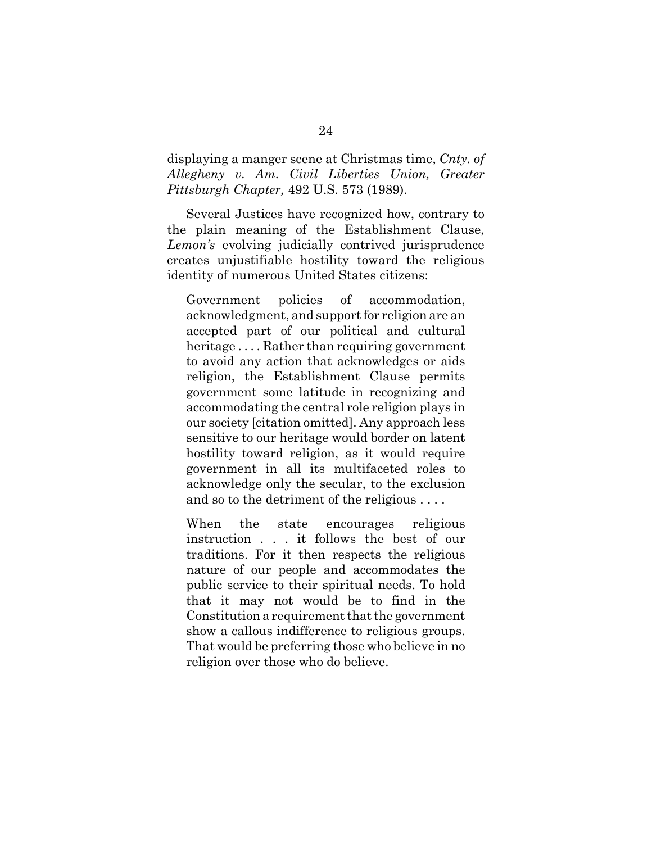displaying a manger scene at Christmas time, *Cnty. of Allegheny v. Am. Civil Liberties Union, Greater Pittsburgh Chapter,* 492 U.S. 573 (1989).

Several Justices have recognized how, contrary to the plain meaning of the Establishment Clause, *Lemon's* evolving judicially contrived jurisprudence creates unjustifiable hostility toward the religious identity of numerous United States citizens:

Government policies of accommodation, acknowledgment, and support for religion are an accepted part of our political and cultural heritage .... Rather than requiring government to avoid any action that acknowledges or aids religion, the Establishment Clause permits government some latitude in recognizing and accommodating the central role religion plays in our society [citation omitted]. Any approach less sensitive to our heritage would border on latent hostility toward religion, as it would require government in all its multifaceted roles to acknowledge only the secular, to the exclusion and so to the detriment of the religious . . . .

When the state encourages religious instruction . . . it follows the best of our traditions. For it then respects the religious nature of our people and accommodates the public service to their spiritual needs. To hold that it may not would be to find in the Constitution a requirement that the government show a callous indifference to religious groups. That would be preferring those who believe in no religion over those who do believe.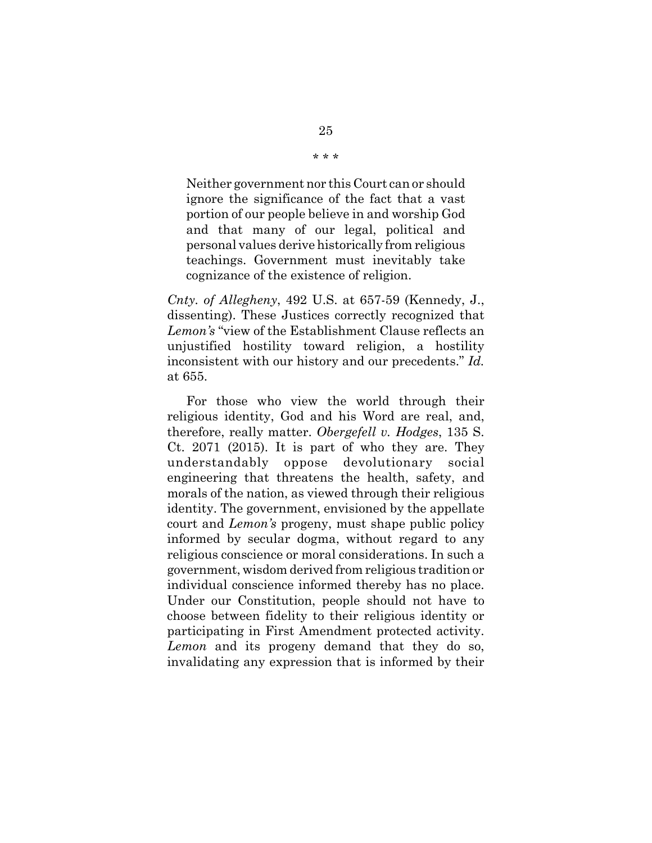Neither government nor this Court can or should ignore the significance of the fact that a vast portion of our people believe in and worship God and that many of our legal, political and personal values derive historically from religious teachings. Government must inevitably take cognizance of the existence of religion.

*Cnty. of Allegheny*, 492 U.S. at 657-59 (Kennedy, J., dissenting). These Justices correctly recognized that *Lemon's* "view of the Establishment Clause reflects an unjustified hostility toward religion, a hostility inconsistent with our history and our precedents." *Id.* at 655.

For those who view the world through their religious identity, God and his Word are real, and, therefore, really matter. *Obergefell v. Hodges*, 135 S. Ct. 2071 (2015). It is part of who they are. They understandably oppose devolutionary social engineering that threatens the health, safety, and morals of the nation, as viewed through their religious identity. The government, envisioned by the appellate court and *Lemon's* progeny, must shape public policy informed by secular dogma, without regard to any religious conscience or moral considerations. In such a government, wisdom derived from religious tradition or individual conscience informed thereby has no place. Under our Constitution, people should not have to choose between fidelity to their religious identity or participating in First Amendment protected activity. *Lemon* and its progeny demand that they do so, invalidating any expression that is informed by their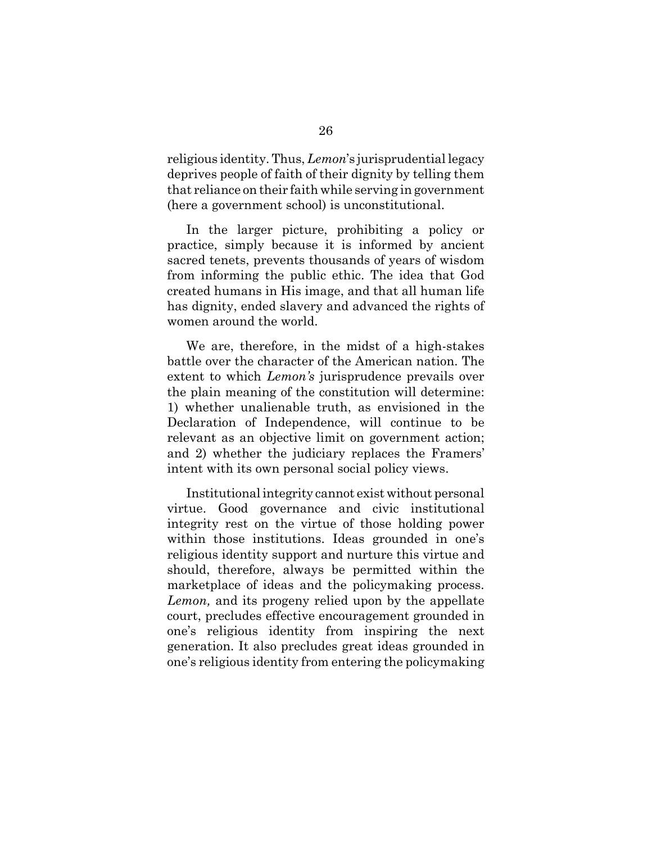religious identity. Thus, *Lemon*'s jurisprudential legacy deprives people of faith of their dignity by telling them that reliance on their faith while serving in government (here a government school) is unconstitutional.

In the larger picture, prohibiting a policy or practice, simply because it is informed by ancient sacred tenets, prevents thousands of years of wisdom from informing the public ethic. The idea that God created humans in His image, and that all human life has dignity, ended slavery and advanced the rights of women around the world.

We are, therefore, in the midst of a high-stakes battle over the character of the American nation. The extent to which *Lemon's* jurisprudence prevails over the plain meaning of the constitution will determine: 1) whether unalienable truth, as envisioned in the Declaration of Independence, will continue to be relevant as an objective limit on government action; and 2) whether the judiciary replaces the Framers' intent with its own personal social policy views.

Institutional integrity cannot exist without personal virtue. Good governance and civic institutional integrity rest on the virtue of those holding power within those institutions. Ideas grounded in one's religious identity support and nurture this virtue and should, therefore, always be permitted within the marketplace of ideas and the policymaking process. *Lemon,* and its progeny relied upon by the appellate court, precludes effective encouragement grounded in one's religious identity from inspiring the next generation. It also precludes great ideas grounded in one's religious identity from entering the policymaking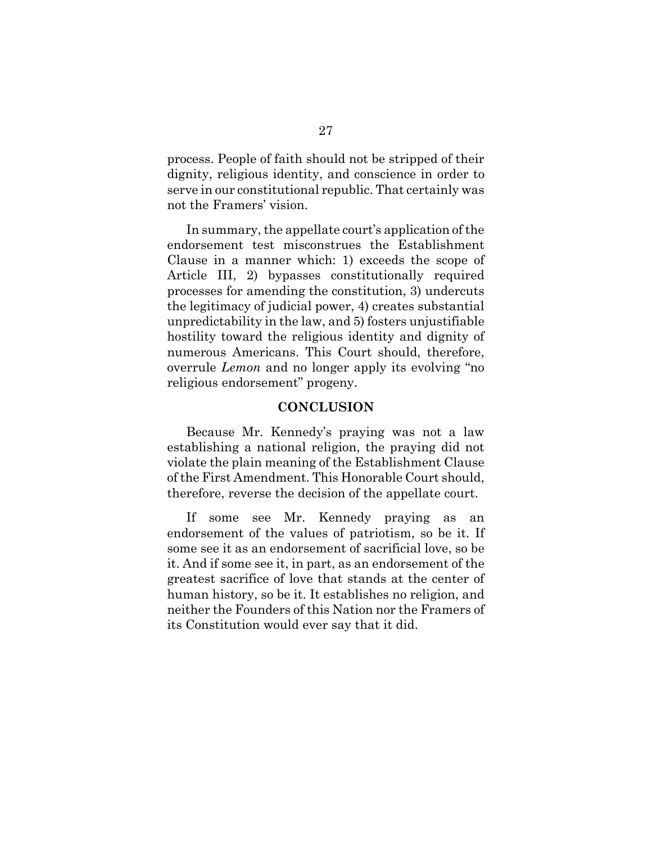process. People of faith should not be stripped of their dignity, religious identity, and conscience in order to serve in our constitutional republic. That certainly was not the Framers' vision.

In summary, the appellate court's application of the endorsement test misconstrues the Establishment Clause in a manner which: 1) exceeds the scope of Article III, 2) bypasses constitutionally required processes for amending the constitution, 3) undercuts the legitimacy of judicial power, 4) creates substantial unpredictability in the law, and 5) fosters unjustifiable hostility toward the religious identity and dignity of numerous Americans. This Court should, therefore, overrule *Lemon* and no longer apply its evolving "no religious endorsement" progeny.

#### **CONCLUSION**

Because Mr. Kennedy's praying was not a law establishing a national religion, the praying did not violate the plain meaning of the Establishment Clause of the First Amendment. This Honorable Court should, therefore, reverse the decision of the appellate court.

If some see Mr. Kennedy praying as an endorsement of the values of patriotism, so be it. If some see it as an endorsement of sacrificial love, so be it. And if some see it, in part, as an endorsement of the greatest sacrifice of love that stands at the center of human history, so be it. It establishes no religion, and neither the Founders of this Nation nor the Framers of its Constitution would ever say that it did.